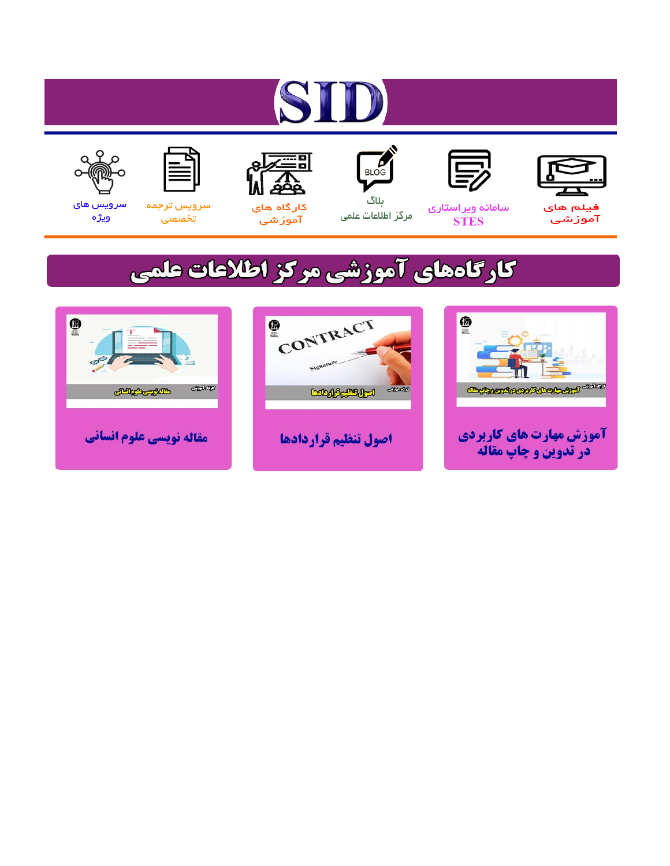# ST











مرکز اطلاعات علمی

 $\frac{1}{\sqrt{\frac{1}{100}}}$ ىلاگ



آموزشي

空

سرويس ترجمه تخصصى



سرویس های ويژه

## كارگاههای آموزشی مركز اطلاعات علمی





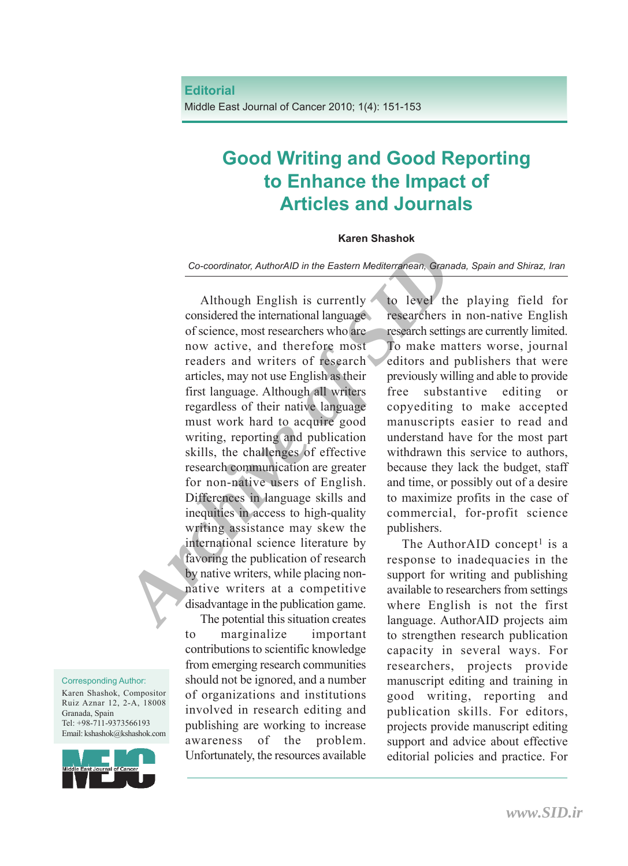Middle East Journal of Cancer 2010; 1(4): 151-153

### **Good Writing and Good Reporting to Enhance the Impact of Articles and Journals**

#### **Karen Shashok**

*Co-coordinator, AuthorAID in the Eastern Mediterranean, Granada, Spain and Shiraz, Iran*

**Co-coordinator**, AuthorAID in the Eastern Mediterranean, Granada, and the considered the international language researchers in n of science, most researchers who are research settings a now active, and therefore most resp Although English is currently considered the international language of science, most researchers who are now active, and therefore most readers and writers of research articles, may not use English as their first language. Although all writers regardless of their native language must work hard to acquire good writing, reporting and publication skills, the challenges of effective research communication are greater for non-native users of English. Differences in language skills and inequities in access to high-quality writing assistance may skew the international science literature by favoring the publication of research by native writers, while placing nonnative writers at a competitive disadvantage in the publication game.

The potential this situation creates to marginalize important contributions to scientific knowledge from emerging research communities should not be ignored, and a number of organizations and institutions involved in research editing and publishing are working to increase awareness of the problem. Unfortunately, the resources available

to level the playing field for researchers in non-native English research settings are currently limited. To make matters worse, journal editors and publishers that were previously willing and able to provide free substantive editing or copyediting to make accepted manuscripts easier to read and understand have for the most part withdrawn this service to authors, because they lack the budget, staff and time, or possibly out of a desire to maximize profits in the case of commercial, for-profit science publishers.

The AuthorAID concept<sup>1</sup> is a response to inadequacies in the support for writing and publishing available to researchers from settings where English is not the first language. AuthorAID projects aim to strengthen research publication capacity in several ways. For researchers, projects provide manuscript editing and training in good writing, reporting and publication skills. For editors, projects provide manuscript editing support and advice about effective editorial policies and practice. For

Corresponding Author:

Karen Shashok, Compositor Ruiz Aznar 12, 2-A, 18008 Granada, Spain Tel: +98-711-9373566193 Email: kshashok@kshashok.com

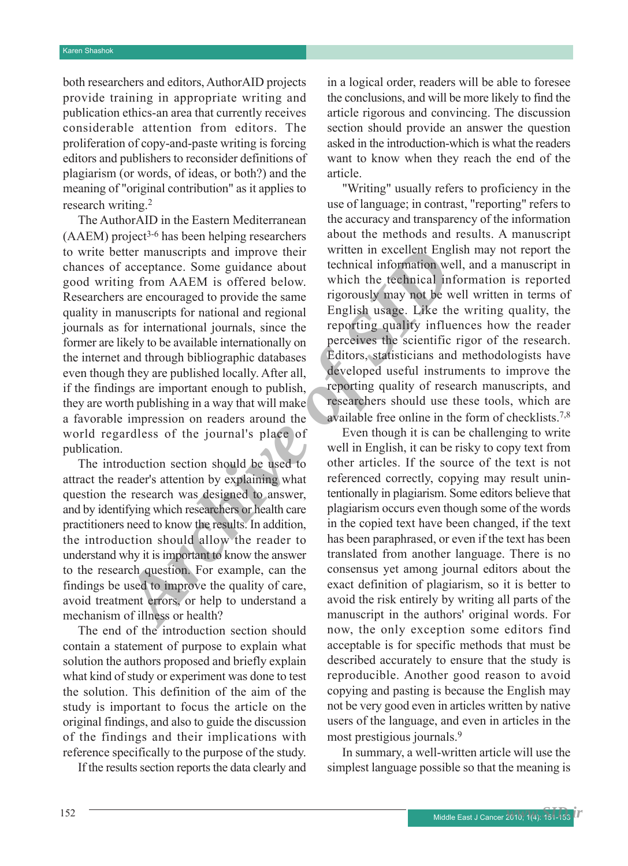both researchers and editors, AuthorAID projects provide training in appropriate writing and publication ethics-an area that currently receives considerable attention from editors. The proliferation of copy-and-paste writing is forcing editors and publishers to reconsider definitions of plagiarism (or words, of ideas, or both?) and the meaning of "original contribution" as it applies to research writing. 2

Faceptance. Some guidance about technical information well, and since a since a since a since and the since a since and the since a since of the since of the since of the since of the since of the since of the since of the The AuthorAID in the Eastern Mediterranean (AAEM) project 3-6 has been helping researchers to write better manuscripts and improve their chances of acceptance. Some guidance about good writing from AAEM is offered below. Researchers are encouraged to provide the same quality in manuscripts for national and regional journals as for international journals, since the former are likely to be available internationally on the internet and through bibliographic databases even though they are published locally. After all, if the findings are important enough to publish, they are worth publishing in a way that will make a favorable impression on readers around the world regardless of the journal's place of publication.

The introduction section should be used to attract the reader's attention by explaining what question the research was designed to answer, and by identifying which researchers or health care practitioners need to know the results. In addition, the introduction should allow the reader to understand why it isimportant to know the answer to the research question. For example, can the findings be used to improve the quality of care, avoid treatment errors, or help to understand a mechanism of illness or health?

The end of the introduction section should contain a statement of purpose to explain what solution the authors proposed and briefly explain what kind of study or experiment was done to test the solution. This definition of the aim of the study is important to focus the article on the original findings, and also to guide the discussion of the findings and their implications with reference specifically to the purpose of the study.

If the results section reports the data clearly and

in a logical order, readers will be able to foresee the conclusions, and will be more likely to find the article rigorous and convincing. The discussion section should provide an answer the question asked in the introduction-which is what the readers want to know when they reach the end of the article.

"Writing" usually refers to proficiency in the use of language; in contrast, "reporting" refers to the accuracy and transparency of the information about the methods and results. A manuscript written in excellent English may not report the technical information well, and a manuscript in which the technical information is reported rigorously may not be well written in terms of English usage. Like the writing quality, the reporting quality influences how the reader perceives the scientific rigor of the research. Editors, statisticians and methodologists have developed useful instruments to improve the reporting quality of research manuscripts, and researchers should use these tools, which are available free online in the form of checklists. 7,8

Even though it is can be challenging to write well in English, it can be risky to copy text from other articles. If the source of the text is not referenced correctly, copying may result unintentionally in plagiarism. Some editors believe that plagiarism occurs even though some of the words in the copied text have been changed, if the text has been paraphrased, or even if the text has been translated from another language. There is no consensus yet among journal editors about the exact definition of plagiarism, so it is better to avoid the risk entirely by writing all parts of the manuscript in the authors' original words. For now, the only exception some editors find acceptable is for specific methods that must be described accurately to ensure that the study is reproducible. Another good reason to avoid copying and pasting is because the English may not be very good even in articles written by native users of the language, and even in articles in the most prestigious journals. 9

In summary, a well-written article will use the simplest language possible so that the meaning is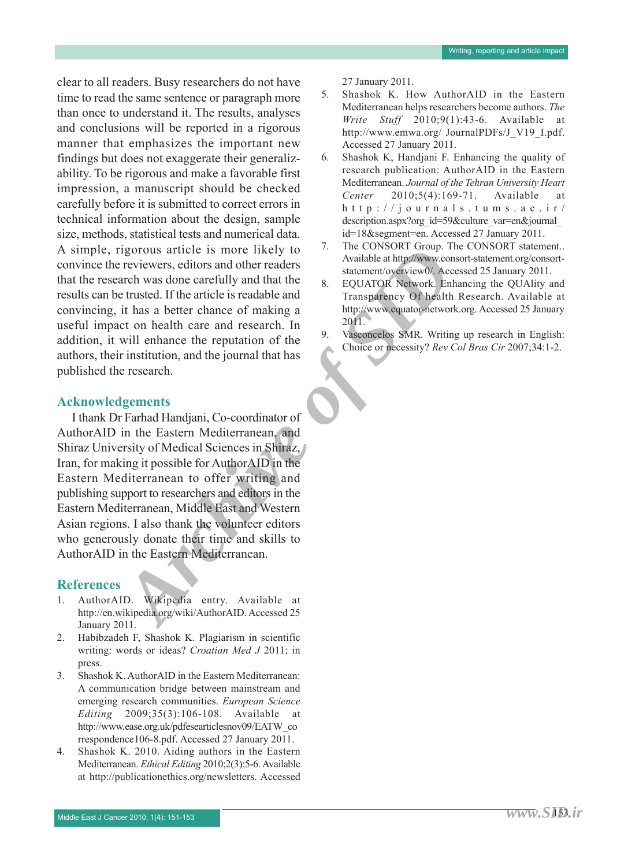clear to all readers. Busy researchers do not have time to read the same sentence or paragraph more than once to understand it. The results, analyses and conclusions will be reported in a rigorous manner that emphasizes the important new findings but does not exaggerate their generalizability. To be rigorous and make a favorable first impression, a manuscript should be checked carefully before it is submitted to correct errors in technical information about the design, sample size, methods, statistical tests and numerical data. A simple, rigorous article is more likely to convince the reviewers, editors and other readers that the research was done carefully and that the results can be trusted. If the article is readable and convincing, it has a better chance of making a useful impact on health care and research. In addition, it will enhance the reputation of the authors, their institution, and the journal that has published the research.

#### **Acknowledgements**

*Archive Conserverse (Conserverse)*<br> *Archive of the Conserverse in the conserverse in the conserverse in the section and the redefinity of the conserverse of making a<br>
archive of SID<i>UATOR Network Conserverse conservers* I thank Dr Farhad Handjani, Co-coordinator of AuthorAID in the Eastern Mediterranean, and Shiraz University of Medical Sciences in Shiraz, Iran, for making it possible for AuthorAID in the Eastern Mediterranean to offer writing and publishing support to researchers and editors in the Eastern Mediterranean, Middle East and Western Asian regions. I also thank the volunteer editors who generously donate their time and skills to AuthorAID in the Eastern Mediterranean.

#### **References**

- 1. AuthorAID. Wikipedia entry. Available at http://en.wikipedia.org/wiki/AuthorAID. Accessed 25 January 2011.
- 2. Habibzadeh F, Shashok K. Plagiarism in scientific writing: words or ideas? *Croatian Med J* 2011; in press.
- 3. Shashok K. AuthorAID in the Eastern Mediterranean: A communication bridge between mainstream and emerging research communities. *European Science Editing* 2009;35(3):106-108. Available at http://www.ease.org.uk/pdfesearticlesnov09/EATW\_co rrespondence106-8.pdf. Accessed 27 January 2011.
- 4. Shashok K. 2010. Aiding authors in the Eastern Mediterranean. *Ethical Editing* 2010;2(3):5-6.Available at http://publicationethics.org/newsletters. Accessed

27 January 2011.

- 5. Shashok K. How AuthorAID in the Eastern Mediterranean helps researchers become authors. *The Write Stuff* 2010;9(1):43-6. Available at http://www.emwa.org/ JournalPDFs/J\_V19\_I.pdf. Accessed 27 January 2011.
- 6. Shashok K, Handjani F. Enhancing the quality of research publication: AuthorAID in the Eastern Mediterranean. *Journal of the Tehran University Heart Center* 2010;5(4):169-71. Available at  $h$  t t p : // $j$  o u r n a l s . t u m s . a c . i r / description.aspx?org\_id=59&culture\_var=en&journal\_ id=18&segment=en. Accessed 27 January 2011.
- 7. The CONSORT Group. The CONSORT statement.. Available at http://www.consort-statement.org/consortstatement/overview0/. Accessed 25 January 2011.
- 8. EQUATOR Network. Enhancing the QUAlity and Transparency Of health Research. Available at http://www.equator-network.org. Accessed 25 January 2011.
- 9. Vasconcelos SMR. Writing up research in English: Choice or necessity? *Rev Col Bras Cir* 2007;34:1-2.